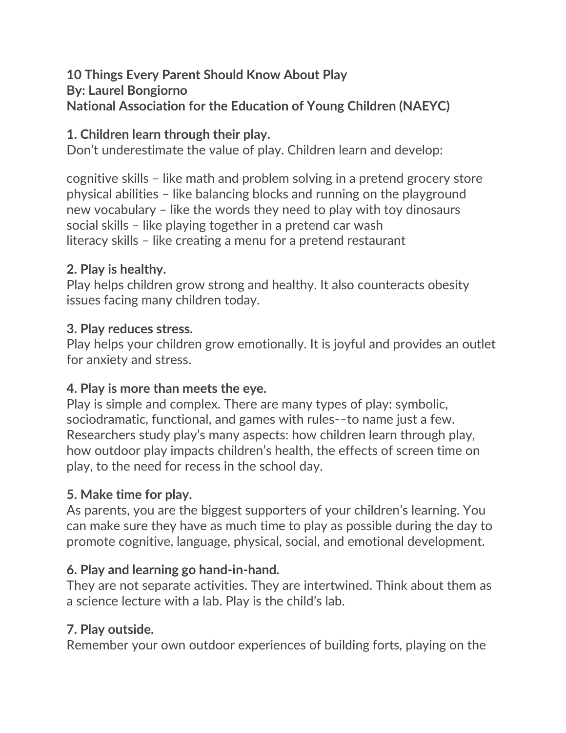#### **10 Things Every Parent Should Know About Play By: Laurel Bongiorno National Association for the Education of Young Children (NAEYC)**

## **1. Children learn through their play.**

Don't underestimate the value of play. Children learn and develop:

cognitive skills – like math and problem solving in a pretend grocery store physical abilities – like balancing blocks and running on the playground new vocabulary – like the words they need to play with toy dinosaurs social skills – like playing together in a pretend car wash literacy skills – like creating a menu for a pretend restaurant

### **2. Play is healthy.**

Play helps children grow strong and healthy. It also counteracts obesity issues facing many children today.

#### **3. Play reduces stress.**

Play helps your children grow emotionally. It is joyful and provides an outlet for anxiety and stress.

#### **4. Play is more than meets the eye.**

Play is simple and complex. There are many types of play: symbolic, sociodramatic, functional, and games with rules-–to name just a few. Researchers study play's many aspects: how children learn through play, how outdoor play impacts children's health, the effects of screen time on play, to the need for recess in the school day.

#### **5. Make time for play.**

As parents, you are the biggest supporters of your children's learning. You can make sure they have as much time to play as possible during the day to promote cognitive, language, physical, social, and emotional development.

#### **6. Play and learning go hand-in-hand.**

They are not separate activities. They are intertwined. Think about them as a science lecture with a lab. Play is the child's lab.

# **7. Play outside.**

Remember your own outdoor experiences of building forts, playing on the